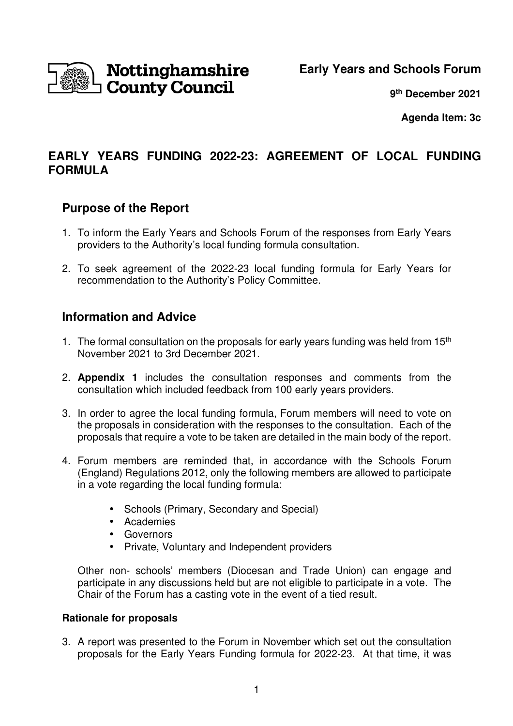

**Early Years and Schools Forum**

**9 th December 2021**

**Agenda Item: 3c** 

## **EARLY YEARS FUNDING 2022-23: AGREEMENT OF LOCAL FUNDING FORMULA**

#### **Purpose of the Report**

- 1. To inform the Early Years and Schools Forum of the responses from Early Years providers to the Authority's local funding formula consultation.
- 2. To seek agreement of the 2022-23 local funding formula for Early Years for recommendation to the Authority's Policy Committee.

## **Information and Advice**

- 1. The formal consultation on the proposals for early years funding was held from  $15<sup>th</sup>$ November 2021 to 3rd December 2021.
- 2. **Appendix 1** includes the consultation responses and comments from the consultation which included feedback from 100 early years providers.
- 3. In order to agree the local funding formula, Forum members will need to vote on the proposals in consideration with the responses to the consultation. Each of the proposals that require a vote to be taken are detailed in the main body of the report.
- 4. Forum members are reminded that, in accordance with the Schools Forum (England) Regulations 2012, only the following members are allowed to participate in a vote regarding the local funding formula:
	- Schools (Primary, Secondary and Special)
	- Academies
	- Governors
	- Private, Voluntary and Independent providers

 Other non- schools' members (Diocesan and Trade Union) can engage and participate in any discussions held but are not eligible to participate in a vote. The Chair of the Forum has a casting vote in the event of a tied result.

#### **Rationale for proposals**

3. A report was presented to the Forum in November which set out the consultation proposals for the Early Years Funding formula for 2022-23. At that time, it was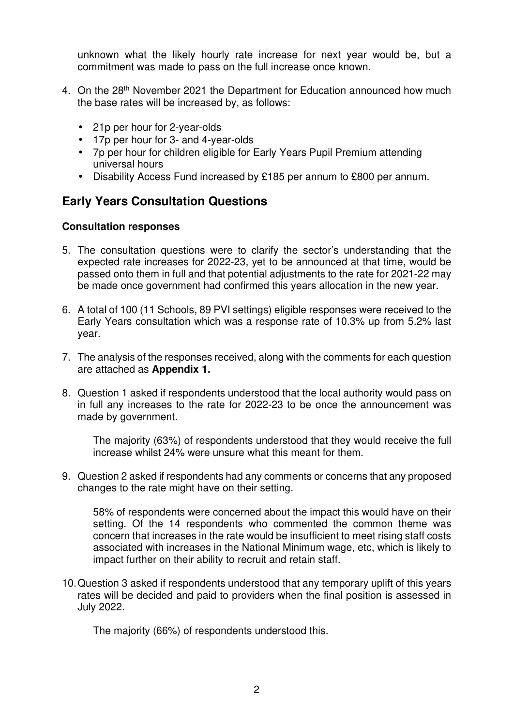unknown what the likely hourly rate increase for next year would be, but a commitment was made to pass on the full increase once known.

- 4. On the 28<sup>th</sup> November 2021 the Department for Education announced how much the base rates will be increased by, as follows:
	- 21p per hour for 2-year-olds
	- 17p per hour for 3- and 4-year-olds
	- 7p per hour for children eligible for Early Years Pupil Premium attending universal hours
	- Disability Access Fund increased by £185 per annum to £800 per annum.

#### **Early Years Consultation Questions**

#### **Consultation responses**

- 5. The consultation questions were to clarify the sector's understanding that the expected rate increases for 2022-23, yet to be announced at that time, would be passed onto them in full and that potential adjustments to the rate for 2021-22 may be made once government had confirmed this years allocation in the new year.
- 6. A total of 100 (11 Schools, 89 PVI settings) eligible responses were received to the Early Years consultation which was a response rate of 10.3% up from 5.2% last year.
- 7. The analysis of the responses received, along with the comments for each question are attached as **Appendix 1.**
- 8. Question 1 asked if respondents understood that the local authority would pass on in full any increases to the rate for 2022-23 to be once the announcement was made by government.

The majority (63%) of respondents understood that they would receive the full increase whilst 24% were unsure what this meant for them.

9. Question 2 asked if respondents had any comments or concerns that any proposed changes to the rate might have on their setting.

58% of respondents were concerned about the impact this would have on their setting. Of the 14 respondents who commented the common theme was concern that increases in the rate would be insufficient to meet rising staff costs associated with increases in the National Minimum wage, etc, which is likely to impact further on their ability to recruit and retain staff.

10. Question 3 asked if respondents understood that any temporary uplift of this years rates will be decided and paid to providers when the final position is assessed in July 2022.

The majority (66%) of respondents understood this.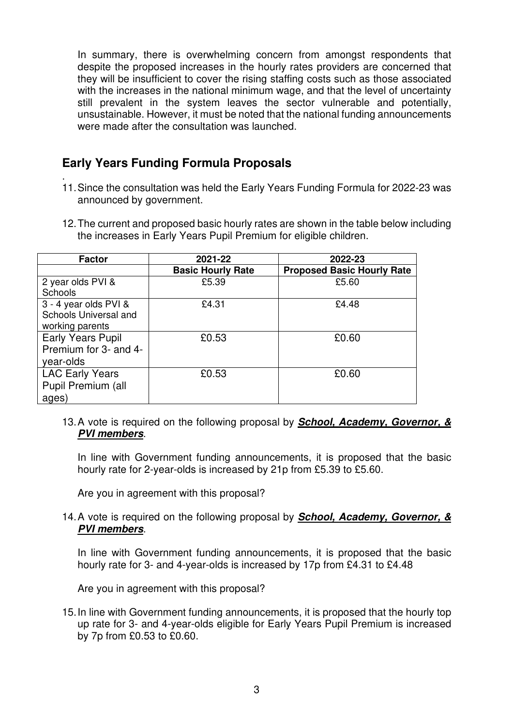In summary, there is overwhelming concern from amongst respondents that despite the proposed increases in the hourly rates providers are concerned that they will be insufficient to cover the rising staffing costs such as those associated with the increases in the national minimum wage, and that the level of uncertainty still prevalent in the system leaves the sector vulnerable and potentially, unsustainable. However, it must be noted that the national funding announcements were made after the consultation was launched.

## **Early Years Funding Formula Proposals**

- . 11. Since the consultation was held the Early Years Funding Formula for 2022-23 was announced by government.
- 12. The current and proposed basic hourly rates are shown in the table below including the increases in Early Years Pupil Premium for eligible children.

| <b>Factor</b>            | 2021-22                  | 2022-23                           |
|--------------------------|--------------------------|-----------------------------------|
|                          | <b>Basic Hourly Rate</b> | <b>Proposed Basic Hourly Rate</b> |
| 2 year olds PVI &        | £5.39                    | £5.60                             |
| <b>Schools</b>           |                          |                                   |
| 3 - 4 year olds PVI &    | £4.31                    | £4.48                             |
| Schools Universal and    |                          |                                   |
| working parents          |                          |                                   |
| <b>Early Years Pupil</b> | £0.53                    | £0.60                             |
| Premium for 3- and 4-    |                          |                                   |
| year-olds                |                          |                                   |
| <b>LAC Early Years</b>   | £0.53                    | £0.60                             |
| Pupil Premium (all       |                          |                                   |
| ages)                    |                          |                                   |

13. A vote is required on the following proposal by **School, Academy, Governor, & PVI members**.

In line with Government funding announcements, it is proposed that the basic hourly rate for 2-year-olds is increased by 21p from £5.39 to £5.60.

Are you in agreement with this proposal?

14. A vote is required on the following proposal by **School, Academy, Governor, & PVI members**.

In line with Government funding announcements, it is proposed that the basic hourly rate for 3- and 4-year-olds is increased by 17p from £4.31 to £4.48

Are you in agreement with this proposal?

15. In line with Government funding announcements, it is proposed that the hourly top up rate for 3- and 4-year-olds eligible for Early Years Pupil Premium is increased by 7p from £0.53 to £0.60.